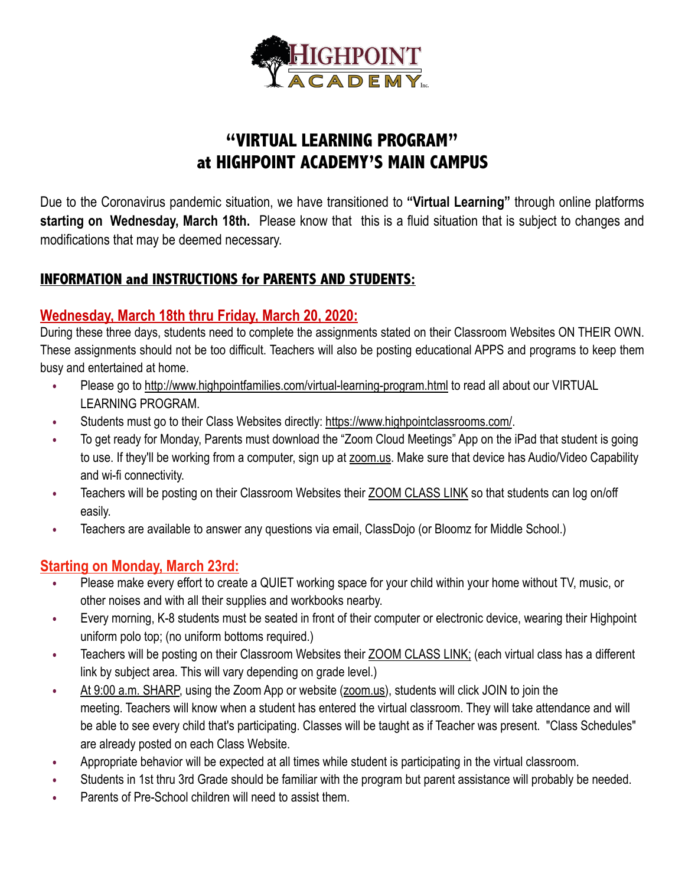

# **"VIRTUAL LEARNING PROGRAM" at HIGHPOINT ACADEMY'S MAIN CAMPUS**

Due to the Coronavirus pandemic situation, we have transitioned to **"Virtual Learning"** through online platforms **starting on Wednesday, March 18th.** Please know that this is a fluid situation that is subject to changes and modifications that may be deemed necessary.

## **INFORMATION and INSTRUCTIONS for PARENTS AND STUDENTS:**

#### **Wednesday, March 18th thru Friday, March 20, 2020:**

During these three days, students need to complete the assignments stated on their Classroom Websites ON THEIR OWN. These assignments should not be too difficult. Teachers will also be posting educational APPS and programs to keep them busy and entertained at home.

- **•** Please go to<http://www.highpointfamilies.com/virtual-learning-program.html>to read all about our VIRTUAL LEARNING PROGRAM.
- **•** Students must go to their Class Websites directly: [https://www.highpointclassrooms.com/.](https://www.highpointclassrooms.com/)
- **•** To get ready for Monday, Parents must download the "Zoom Cloud Meetings" App on the iPad that student is going to use. If they'll be working from a computer, sign up at [zoom.us.](http://zoom.us/) Make sure that device has Audio/Video Capability and wi-fi connectivity.
- **•** Teachers will be posting on their Classroom Websites their ZOOM CLASS LINK so that students can log on/off easily.
- **•** Teachers are available to answer any questions via email, ClassDojo (or Bloomz for Middle School.)

## **Starting on Monday, March 23rd:**

- **•** Please make every effort to create a QUIET working space for your child within your home without TV, music, or other noises and with all their supplies and workbooks nearby.
- **•** Every morning, K-8 students must be seated in front of their computer or electronic device, wearing their Highpoint uniform polo top; (no uniform bottoms required.)
- **•** Teachers will be posting on their Classroom Websites their ZOOM CLASS LINK; (each virtual class has a different link by subject area. This will vary depending on grade level.)
- **•** At 9:00 a.m. SHARP, using the Zoom App or website [\(zoom.us](http://zoom.us/)), students will click JOIN to join the meeting. Teachers will know when a student has entered the virtual classroom. They will take attendance and will be able to see every child that's participating. Classes will be taught as if Teacher was present. "Class Schedules" are already posted on each Class Website.
- **•** Appropriate behavior will be expected at all times while student is participating in the virtual classroom.
- **•** Students in 1st thru 3rd Grade should be familiar with the program but parent assistance will probably be needed.
- **•** Parents of Pre-School children will need to assist them.